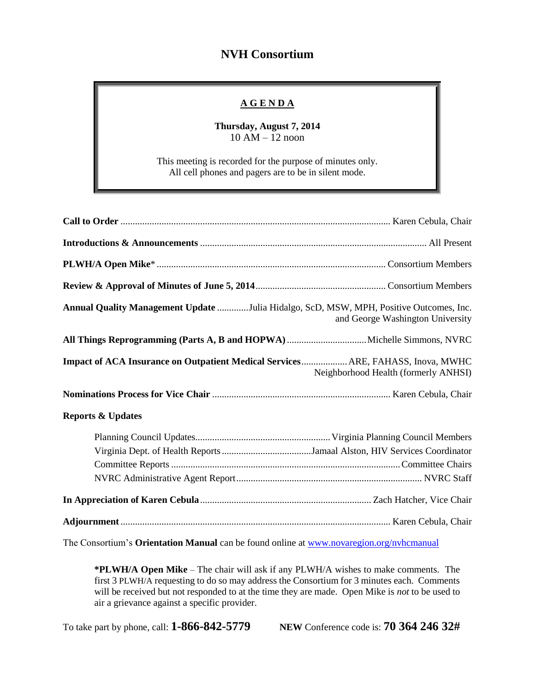## **NVH Consortium**

## **A G E N D A**

**Thursday, August 7, 2014** 10 AM – 12 noon

This meeting is recorded for the purpose of minutes only. All cell phones and pagers are to be in silent mode.

| Annual Quality Management Update Julia Hidalgo, ScD, MSW, MPH, Positive Outcomes, Inc. | and George Washington University     |
|----------------------------------------------------------------------------------------|--------------------------------------|
|                                                                                        |                                      |
| Impact of ACA Insurance on Outpatient Medical Services ARE, FAHASS, Inova, MWHC        | Neighborhood Health (formerly ANHSI) |
|                                                                                        |                                      |
| <b>Reports &amp; Updates</b>                                                           |                                      |
|                                                                                        |                                      |
|                                                                                        |                                      |
|                                                                                        |                                      |

The Consortium's **Orientation Manual** can be found online at [www.novaregion.org/nvhcmanual](http://www.novaregion.org/nvhcmanual)

**\*PLWH/A Open Mike** – The chair will ask if any PLWH/A wishes to make comments. The first 3 PLWH/A requesting to do so may address the Consortium for 3 minutes each. Comments will be received but not responded to at the time they are made. Open Mike is *not* to be used to air a grievance against a specific provider.

To take part by phone, call: **1-866-842-5779 NEW** Conference code is: **70 364 246 32#**